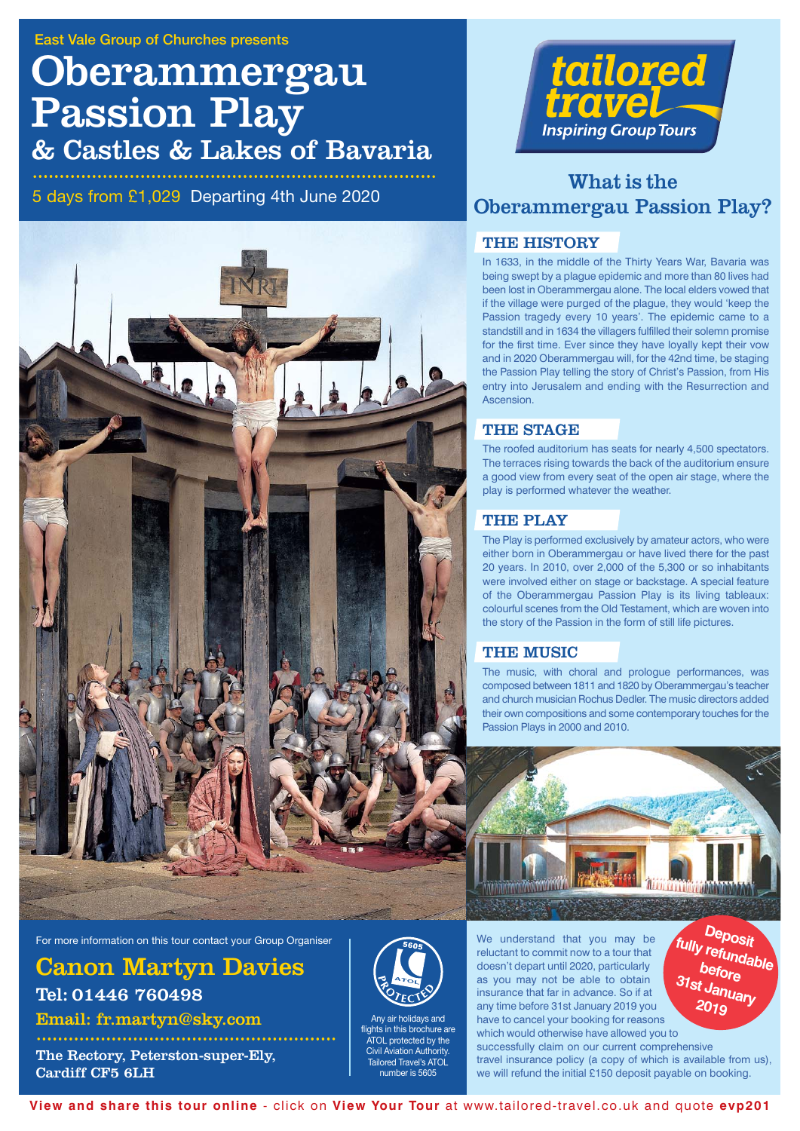# Oberammergau Passion Play & Castles & Lakes of Bavaria

5 days from £1,029 Departing 4th June 2020





## What is the Oberammergau Passion Play?

### THE HISTORY

In 1633, in the middle of the Thirty Years War, Bavaria was being swept by a plague epidemic and more than 80 lives had been lost in Oberammergau alone. The local elders vowed that if the village were purged of the plague, they would 'keep the Passion tragedy every 10 years'. The epidemic came to a standstill and in 1634 the villagers fulfilled their solemn promise for the first time. Ever since they have loyally kept their vow and in 2020 Oberammergau will, for the 42nd time, be staging the Passion Play telling the story of Christ's Passion, from His entry into Jerusalem and ending with the Resurrection and Ascension.

### THE STAGE

The roofed auditorium has seats for nearly 4,500 spectators. The terraces rising towards the back of the auditorium ensure a good view from every seat of the open air stage, where the play is performed whatever the weather.

### THE PLAY

The Play is performed exclusively by amateur actors, who were either born in Oberammergau or have lived there for the past 20 years. In 2010, over 2,000 of the 5,300 or so inhabitants were involved either on stage or backstage. A special feature of the Oberammergau Passion Play is its living tableaux: colourful scenes from the Old Testament, which are woven into the story of the Passion in the form of still life pictures.

### THE MUSIC

The music, with choral and prologue performances, was composed between 1811 and 1820 by Oberammergau's teacher and church musician Rochus Dedler. The music directors added their own compositions and some contemporary touches for the Passion Plays in 2000 and 2010.



**Deposit fully refundable before 31st January 2019**

For more information on this tour contact your Group Organiser

Canon Martyn Davies Tel: 01446 760498

Email: fr.martyn@sky.com

The Rectory, Peterston-super-Ely, Cardiff CF5 6LH



Any air holidays and flights in this brochure are **ATOL** protected by the Civil Aviation Authority. Tailored Travel's ATOL number is 5605

We understand that you may be reluctant to commit now to a tour that doesn't depart until 2020, particularly as you may not be able to obtain insurance that far in advance. So if at any time before 31st January 2019 you have to cancel your booking for reasons

which would otherwise have allowed you to successfully claim on our current comprehensive travel insurance policy (a copy of which is available from us), we will refund the initial £150 deposit payable on booking.

**View and share this tour online** - click on **View Your Tour** at www.tailored-travel.co.uk and quote **evp201**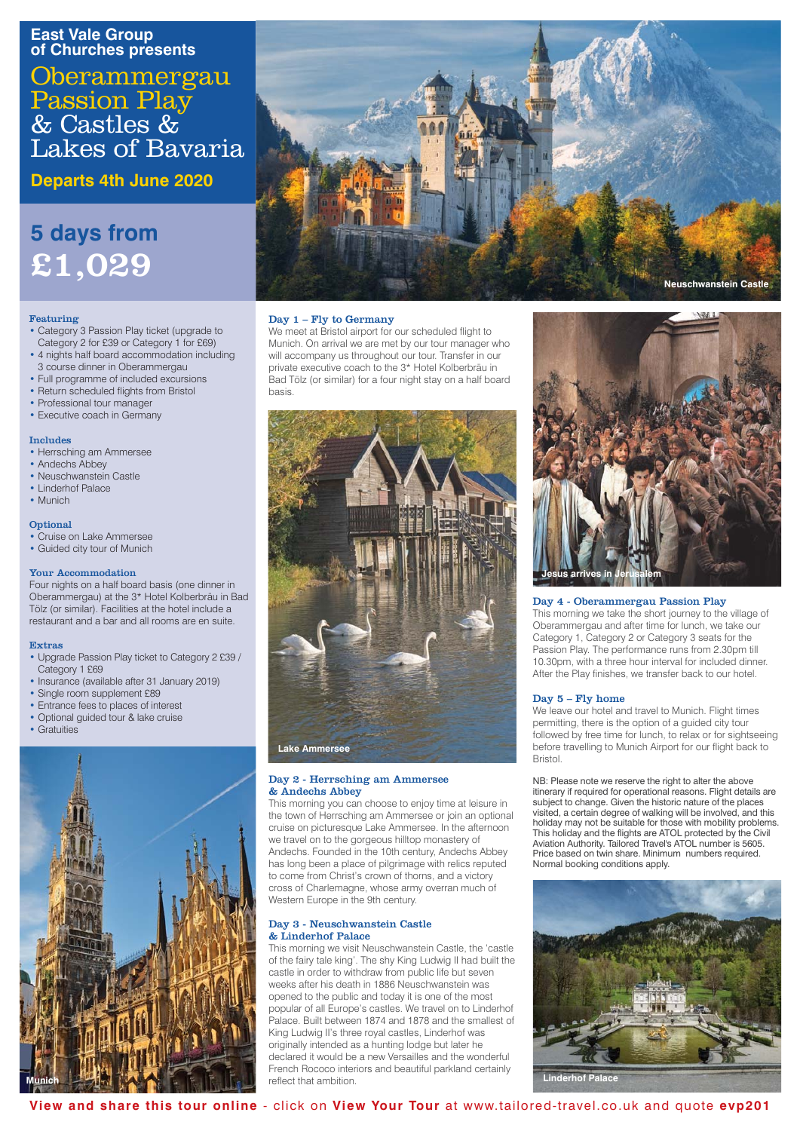### **East Vale Group of Churches presents**

**Oberammergau** Passion Play & Castles & Lakes of Bavaria

**Departs 4th June 2020**

## **5 days from** £1,029

### Featuring

- Category 3 Passion Play ticket (upgrade to Category 2 for £39 or Category 1 for £69)
- 4 nights half board accommodation including 3 course dinner in Oberammergau
- Full programme of included excursions
- Return scheduled flights from Bristol
- Professional tour manager
- Executive coach in Germany

### Includes

- Herrsching am Ammersee
- Andechs Abbey
- Neuschwanstein Castle • Linderhof Palace
- Munich
- 

### **Optional**

• Cruise on Lake Ammersee • Guided city tour of Munich

## Your Accommodation

Four nights on a half board basis (one dinner in Oberammergau) at the 3\* Hotel Kolberbräu in Bad Tölz (or similar). Facilities at the hotel include a restaurant and a bar and all rooms are en suite.

### Extras

- Upgrade Passion Play ticket to Category 2 £39 / Category 1 £69
- Insurance (available after 31 January 2019)
- Single room supplement £89
- Entrance fees to places of interest • Optional guided tour & lake cruise
- 
- Gratuities





### Day 1 – Fly to Germany

We meet at Bristol airport for our scheduled flight to Munich. On arrival we are met by our tour manager who will accompany us throughout our tour. Transfer in our private executive coach to the 3\* Hotel Kolberbräu in Bad Tölz (or similar) for a four night stay on a half board basis.



### Day 2 - Herrsching am Ammersee & Andechs Abbey

This morning you can choose to enjoy time at leisure in the town of Herrsching am Ammersee or join an optional cruise on picturesque Lake Ammersee. In the afternoon we travel on to the gorgeous hilltop monastery of Andechs. Founded in the 10th century, Andechs Abbey has long been a place of pilgrimage with relics reputed to come from Christ's crown of thorns, and a victory cross of Charlemagne, whose army overran much of Western Europe in the 9th century.

### Day 3 - Neuschwanstein Castle & Linderhof Palace

This morning we visit Neuschwanstein Castle, the 'castle of the fairy tale king'. The shy King Ludwig II had built the castle in order to withdraw from public life but seven weeks after his death in 1886 Neuschwanstein was opened to the public and today it is one of the most popular of all Europe's castles. We travel on to Linderhof Palace. Built between 1874 and 1878 and the smallest of King Ludwig II's three royal castles, Linderhof was originally intended as a hunting lodge but later he declared it would be a new Versailles and the wonderful French Rococo interiors and beautiful parkland certainly reflect that ambition.



### Day 4 - Oberammergau Passion Play

This morning we take the short journey to the village of Oberammergau and after time for lunch, we take our Category 1, Category 2 or Category 3 seats for the Passion Play. The performance runs from 2.30pm till 10.30pm, with a three hour interval for included dinner. After the Play finishes, we transfer back to our hotel.

### Day 5 – Fly home

We leave our hotel and travel to Munich. Flight times permitting, there is the option of a guided city tour followed by free time for lunch, to relax or for sightseeing before travelling to Munich Airport for our flight back to Bristol.

NB: Please note we reserve the right to alter the above itinerary if required for operational reasons. Flight details are subject to change. Given the historic nature of the place visited, a certain degree of walking will be involved, and this holiday may not be suitable for those with mobility problems. This holiday and the flights are ATOL protected by the Civil Aviation Authority. Tailored Travel's ATOL number is 5605. Price based on twin share. Minimum numbers required. Normal booking conditions apply.



**View and share this tour online** - click on **View Your Tour** at www.tailored-travel.co.uk and quote **evp201**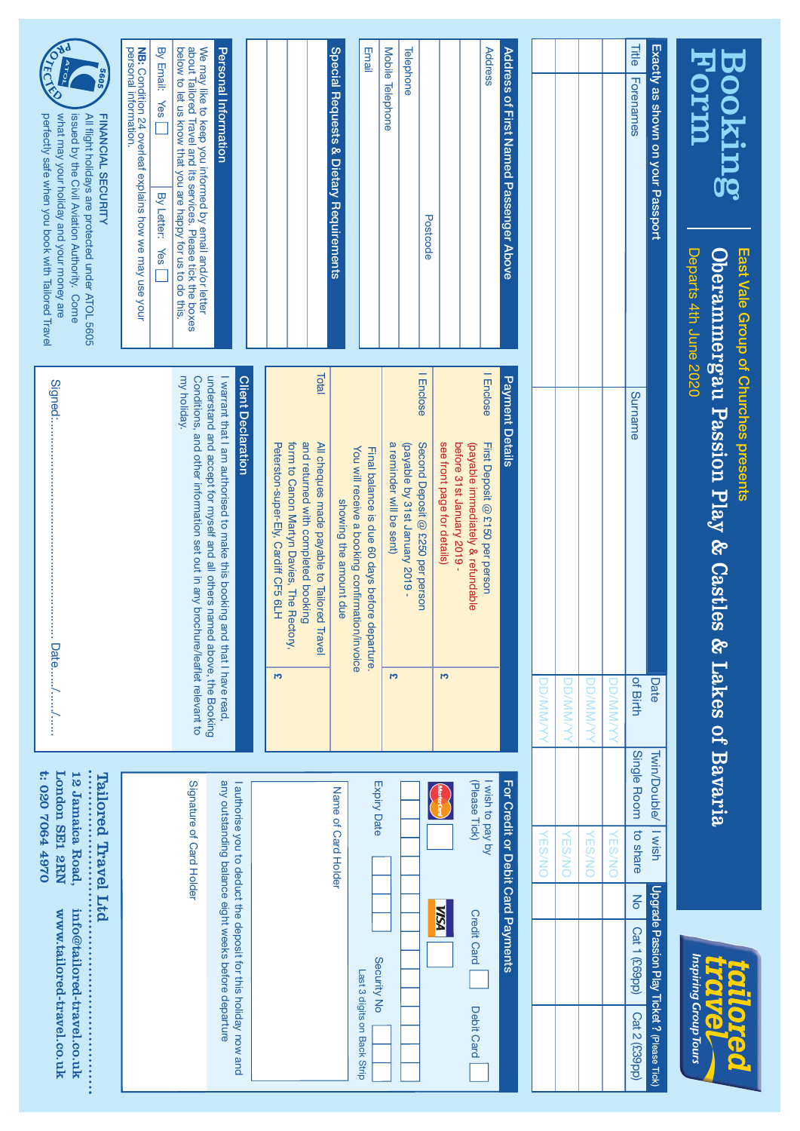| Horm<br>Booking                                                                                                                                                                                                                             | Departs 4th June 2020 | Oberammergau Passion Play & Castles<br>East Vale Group of Churches presents                                                                                              | & Lakes of Bavaria |                                                              |                          | Inspiring Group Tours<br><b>CONTA</b><br><b>KO</b>             |                             |
|---------------------------------------------------------------------------------------------------------------------------------------------------------------------------------------------------------------------------------------------|-----------------------|--------------------------------------------------------------------------------------------------------------------------------------------------------------------------|--------------------|--------------------------------------------------------------|--------------------------|----------------------------------------------------------------|-----------------------------|
| Exactly as shown on your Passport                                                                                                                                                                                                           |                       |                                                                                                                                                                          | Date               | <b>Twin/Double/</b>                                          | I wish                   | Upgrade Passion Play Ticket ? (Please Tick)                    |                             |
| Title<br>Forenames                                                                                                                                                                                                                          |                       | Surname                                                                                                                                                                  | of Birth           | Single Room                                                  | to share                 | $\overline{6}$<br>Cat 1 (£69pp)                                | Cat 2 (£39pp)               |
|                                                                                                                                                                                                                                             |                       |                                                                                                                                                                          | <b>NNMVIO</b>      |                                                              | <b>ES/NO</b>             |                                                                |                             |
|                                                                                                                                                                                                                                             |                       |                                                                                                                                                                          | <b>DD/MM/YYY</b>   |                                                              | <b>VES/NO</b>            |                                                                |                             |
|                                                                                                                                                                                                                                             |                       |                                                                                                                                                                          | <b>DD/MM/YYY</b>   |                                                              | <b>VES/NO</b>            |                                                                |                             |
|                                                                                                                                                                                                                                             |                       |                                                                                                                                                                          | <b>DD/MM/YY</b>    |                                                              | <b>GS/NO</b>             |                                                                |                             |
| Address of First Named Passenger Above                                                                                                                                                                                                      |                       | <b>Payment Details</b>                                                                                                                                                   |                    |                                                              |                          | For Credit or Debit Card Payments                              |                             |
| Address                                                                                                                                                                                                                                     |                       | I Enclose<br>First Deposit @ £150 per person                                                                                                                             |                    | Vish to pay by                                               |                          |                                                                |                             |
|                                                                                                                                                                                                                                             |                       | before 31st January 2019 -<br>(payable immediately & refundable                                                                                                          |                    | (Please Tick)                                                |                          | <b>Credit Card</b>                                             | Debit Card                  |
|                                                                                                                                                                                                                                             | Postcode              | I Enclose<br>Second Deposit @ £250 per person<br>see front page for details)                                                                                             | <b>CA</b>          |                                                              |                          | <b>VISN</b>                                                    |                             |
| Telephone                                                                                                                                                                                                                                   |                       | (payable by 31st January 2019 -                                                                                                                                          |                    |                                                              |                          |                                                                |                             |
| Mobile Telephone                                                                                                                                                                                                                            |                       | a reminder will be sent)                                                                                                                                                 | F                  |                                                              |                          |                                                                |                             |
| Email                                                                                                                                                                                                                                       |                       | You will receive a booking confirmation/invoice<br>Final balance is due 60 days before departure.                                                                        |                    | Expiry Date                                                  |                          | Security No                                                    | Last 3 digits on Back Strip |
| Special Requests & Dietary Requirements                                                                                                                                                                                                     |                       | Total<br>All cheques made payable to Tailored 1<br>showing the amount due<br>Travel                                                                                      |                    |                                                              | Name of Card Holder      |                                                                |                             |
|                                                                                                                                                                                                                                             |                       | and returned with completed booking<br>Peterston-super-Ely, Cardiff CF5 6LH<br>form to Canon Martyn Davies, The Rectory,                                                 | מין                |                                                              |                          |                                                                |                             |
|                                                                                                                                                                                                                                             |                       | <b>Client Declaration</b>                                                                                                                                                |                    |                                                              |                          | I authorise you to deduct the deposit for this holiday now and |                             |
| Personal Information                                                                                                                                                                                                                        |                       | I warrant that I am authorised to make this booking and that I have read.                                                                                                |                    |                                                              |                          | any outstanding balance eight weeks before departure           |                             |
| We may like to keep you informed by email and/or letter<br>about Tailored Travel and its services. Please tick the boxes<br>below to let us know that you are happy for us to do this.                                                      |                       | my holiday.<br>understand and accept for myself and all others named above, the Booking<br>Conditions, and other information set out in any brochure/leaflet relevant to |                    |                                                              | Signature of Card Holder |                                                                |                             |
| <b>NB:</b> Condition 24 overleaf explains how we may use your<br>personal information.<br>By Email:<br><b>Yes</b><br>By Letter:                                                                                                             | <b>Ves</b>            |                                                                                                                                                                          |                    |                                                              |                          |                                                                |                             |
| <b>RECIPION</b><br>perfectly safe when you book with Tailored Travel<br>what may your holiday and your money are<br>FINANCIAL SECURITY<br>issued by the Civil Aviation Authority. Come<br>All flight holidays are protected under ATOL 5605 |                       |                                                                                                                                                                          | Date//             | <br><b>London SE1 2RN</b><br>0264 497054<br>12 Jamaica Road, | Tailored Travel Ltd      | info@tailored-travel.co.uk<br>www.tailored-travel.co.uk<br>    |                             |